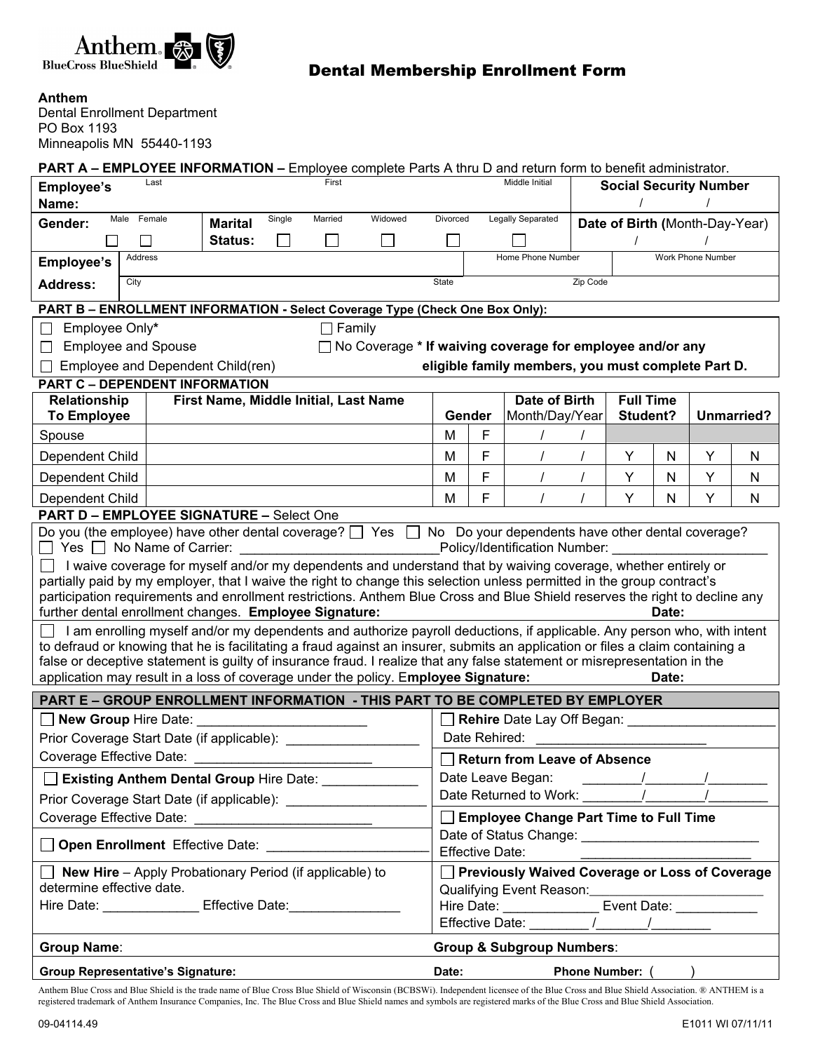

## Dental Membership Enrollment Form

**Anthem** 

Dental Enrollment Department PO Box 1193 Minneapolis MN 55440-1193

**PART A – EMPLOYEE INFORMATION –** Employee complete Parts A thru D and return form to benefit administrator.

| Employee's                                                                                                                                                                                                                                                                                                                                                                                                                                                                                                                                                                                                                                                                                                                                                                                                                                                                                                                                                                                                    |                                                                                           |                                       | First  |  |                                                                            |                                                | Middle Initial             |                                                                                                                                                                                                                               | <b>Social Security Number</b>  |                   |                  |            |        |  |
|---------------------------------------------------------------------------------------------------------------------------------------------------------------------------------------------------------------------------------------------------------------------------------------------------------------------------------------------------------------------------------------------------------------------------------------------------------------------------------------------------------------------------------------------------------------------------------------------------------------------------------------------------------------------------------------------------------------------------------------------------------------------------------------------------------------------------------------------------------------------------------------------------------------------------------------------------------------------------------------------------------------|-------------------------------------------------------------------------------------------|---------------------------------------|--------|--|----------------------------------------------------------------------------|------------------------------------------------|----------------------------|-------------------------------------------------------------------------------------------------------------------------------------------------------------------------------------------------------------------------------|--------------------------------|-------------------|------------------|------------|--------|--|
| Name:<br>Female<br>Widowed<br>Married                                                                                                                                                                                                                                                                                                                                                                                                                                                                                                                                                                                                                                                                                                                                                                                                                                                                                                                                                                         |                                                                                           |                                       |        |  |                                                                            |                                                |                            |                                                                                                                                                                                                                               |                                |                   |                  |            |        |  |
| Male<br>Gender:                                                                                                                                                                                                                                                                                                                                                                                                                                                                                                                                                                                                                                                                                                                                                                                                                                                                                                                                                                                               |                                                                                           | <b>Marital</b>                        | Single |  |                                                                            | Divorced                                       |                            | Legally Separated                                                                                                                                                                                                             | Date of Birth (Month-Day-Year) |                   |                  |            |        |  |
|                                                                                                                                                                                                                                                                                                                                                                                                                                                                                                                                                                                                                                                                                                                                                                                                                                                                                                                                                                                                               |                                                                                           | Status:                               |        |  |                                                                            |                                                |                            |                                                                                                                                                                                                                               |                                |                   |                  |            |        |  |
| Employee's                                                                                                                                                                                                                                                                                                                                                                                                                                                                                                                                                                                                                                                                                                                                                                                                                                                                                                                                                                                                    | Address                                                                                   |                                       |        |  |                                                                            |                                                |                            | Home Phone Number                                                                                                                                                                                                             |                                | Work Phone Number |                  |            |        |  |
| City<br><b>Address:</b>                                                                                                                                                                                                                                                                                                                                                                                                                                                                                                                                                                                                                                                                                                                                                                                                                                                                                                                                                                                       |                                                                                           |                                       |        |  |                                                                            | State<br>Zip Code                              |                            |                                                                                                                                                                                                                               |                                |                   |                  |            |        |  |
| PART B - ENROLLMENT INFORMATION - Select Coverage Type (Check One Box Only):                                                                                                                                                                                                                                                                                                                                                                                                                                                                                                                                                                                                                                                                                                                                                                                                                                                                                                                                  |                                                                                           |                                       |        |  |                                                                            |                                                |                            |                                                                                                                                                                                                                               |                                |                   |                  |            |        |  |
| Employee Only*<br>$\Box$ Family<br>l 1                                                                                                                                                                                                                                                                                                                                                                                                                                                                                                                                                                                                                                                                                                                                                                                                                                                                                                                                                                        |                                                                                           |                                       |        |  |                                                                            |                                                |                            |                                                                                                                                                                                                                               |                                |                   |                  |            |        |  |
| $\Box$                                                                                                                                                                                                                                                                                                                                                                                                                                                                                                                                                                                                                                                                                                                                                                                                                                                                                                                                                                                                        | <b>Employee and Spouse</b><br>□ No Coverage * If waiving coverage for employee and/or any |                                       |        |  |                                                                            |                                                |                            |                                                                                                                                                                                                                               |                                |                   |                  |            |        |  |
| Employee and Dependent Child(ren)<br>eligible family members, you must complete Part D.                                                                                                                                                                                                                                                                                                                                                                                                                                                                                                                                                                                                                                                                                                                                                                                                                                                                                                                       |                                                                                           |                                       |        |  |                                                                            |                                                |                            |                                                                                                                                                                                                                               |                                |                   |                  |            |        |  |
| PART C - DEPENDENT INFORMATION                                                                                                                                                                                                                                                                                                                                                                                                                                                                                                                                                                                                                                                                                                                                                                                                                                                                                                                                                                                |                                                                                           |                                       |        |  |                                                                            |                                                |                            |                                                                                                                                                                                                                               |                                |                   |                  |            |        |  |
| Relationship                                                                                                                                                                                                                                                                                                                                                                                                                                                                                                                                                                                                                                                                                                                                                                                                                                                                                                                                                                                                  |                                                                                           | First Name, Middle Initial, Last Name |        |  |                                                                            |                                                | Gender                     |                                                                                                                                                                                                                               | <b>Date of Birth</b>           |                   | <b>Full Time</b> |            |        |  |
| <b>To Employee</b>                                                                                                                                                                                                                                                                                                                                                                                                                                                                                                                                                                                                                                                                                                                                                                                                                                                                                                                                                                                            |                                                                                           |                                       |        |  |                                                                            |                                                |                            | Month/Day/Year                                                                                                                                                                                                                |                                | Student?          |                  | Unmarried? |        |  |
| Spouse                                                                                                                                                                                                                                                                                                                                                                                                                                                                                                                                                                                                                                                                                                                                                                                                                                                                                                                                                                                                        |                                                                                           |                                       |        |  |                                                                            | M                                              | F<br>F                     |                                                                                                                                                                                                                               |                                |                   |                  |            |        |  |
| Dependent Child<br>Dependent Child                                                                                                                                                                                                                                                                                                                                                                                                                                                                                                                                                                                                                                                                                                                                                                                                                                                                                                                                                                            |                                                                                           |                                       |        |  |                                                                            | M<br>M                                         | F                          |                                                                                                                                                                                                                               |                                | Υ<br>Y            | N<br>N           | Y<br>Y     | N<br>N |  |
| Dependent Child                                                                                                                                                                                                                                                                                                                                                                                                                                                                                                                                                                                                                                                                                                                                                                                                                                                                                                                                                                                               |                                                                                           |                                       |        |  |                                                                            | M                                              | F                          |                                                                                                                                                                                                                               |                                | Y                 | N                | Y          | N      |  |
| <b>PART D - EMPLOYEE SIGNATURE - Select One</b>                                                                                                                                                                                                                                                                                                                                                                                                                                                                                                                                                                                                                                                                                                                                                                                                                                                                                                                                                               |                                                                                           |                                       |        |  |                                                                            |                                                |                            |                                                                                                                                                                                                                               |                                |                   |                  |            |        |  |
| $\Box$ Yes $\Box$ No Name of Carrier:<br>Policy/Identification Number:<br>I waive coverage for myself and/or my dependents and understand that by waiving coverage, whether entirely or<br>partially paid by my employer, that I waive the right to change this selection unless permitted in the group contract's<br>participation requirements and enrollment restrictions. Anthem Blue Cross and Blue Shield reserves the right to decline any<br>further dental enrollment changes. Employee Signature:<br>Date:<br>I am enrolling myself and/or my dependents and authorize payroll deductions, if applicable. Any person who, with intent<br>to defraud or knowing that he is facilitating a fraud against an insurer, submits an application or files a claim containing a<br>false or deceptive statement is guilty of insurance fraud. I realize that any false statement or misrepresentation in the<br>application may result in a loss of coverage under the policy. Employee Signature:<br>Date: |                                                                                           |                                       |        |  |                                                                            |                                                |                            |                                                                                                                                                                                                                               |                                |                   |                  |            |        |  |
| PART E - GROUP ENROLLMENT INFORMATION - THIS PART TO BE COMPLETED BY EMPLOYER                                                                                                                                                                                                                                                                                                                                                                                                                                                                                                                                                                                                                                                                                                                                                                                                                                                                                                                                 |                                                                                           |                                       |        |  |                                                                            |                                                |                            |                                                                                                                                                                                                                               |                                |                   |                  |            |        |  |
| New Group Hire Date:                                                                                                                                                                                                                                                                                                                                                                                                                                                                                                                                                                                                                                                                                                                                                                                                                                                                                                                                                                                          |                                                                                           |                                       |        |  |                                                                            | Rehire Date Lay Off Began:                     |                            |                                                                                                                                                                                                                               |                                |                   |                  |            |        |  |
| Prior Coverage Start Date (if applicable): ___________                                                                                                                                                                                                                                                                                                                                                                                                                                                                                                                                                                                                                                                                                                                                                                                                                                                                                                                                                        |                                                                                           |                                       |        |  |                                                                            | Date Rehired:                                  |                            |                                                                                                                                                                                                                               |                                |                   |                  |            |        |  |
| Coverage Effective Date:                                                                                                                                                                                                                                                                                                                                                                                                                                                                                                                                                                                                                                                                                                                                                                                                                                                                                                                                                                                      |                                                                                           |                                       |        |  | <b>Return from Leave of Absence</b><br>Date Leave Began:<br>$\overline{1}$ |                                                |                            |                                                                                                                                                                                                                               |                                |                   |                  |            |        |  |
| <b>Existing Anthem Dental Group Hire Date:</b> ___________                                                                                                                                                                                                                                                                                                                                                                                                                                                                                                                                                                                                                                                                                                                                                                                                                                                                                                                                                    |                                                                                           |                                       |        |  |                                                                            |                                                |                            |                                                                                                                                                                                                                               |                                |                   |                  |            |        |  |
| Prior Coverage Start Date (if applicable): _________________                                                                                                                                                                                                                                                                                                                                                                                                                                                                                                                                                                                                                                                                                                                                                                                                                                                                                                                                                  |                                                                                           |                                       |        |  |                                                                            | Employee Change Part Time to Full Time         |                            |                                                                                                                                                                                                                               |                                |                   |                  |            |        |  |
| Coverage Effective Date: ______________________________<br>Open Enrollment Effective Date: <b>Committee Control</b>                                                                                                                                                                                                                                                                                                                                                                                                                                                                                                                                                                                                                                                                                                                                                                                                                                                                                           |                                                                                           |                                       |        |  | <b>Effective Date:</b>                                                     |                                                |                            |                                                                                                                                                                                                                               |                                |                   |                  |            |        |  |
| $\Box$ New Hire - Apply Probationary Period (if applicable) to<br>determine effective date.                                                                                                                                                                                                                                                                                                                                                                                                                                                                                                                                                                                                                                                                                                                                                                                                                                                                                                                   |                                                                                           |                                       |        |  |                                                                            | Previously Waived Coverage or Loss of Coverage |                            |                                                                                                                                                                                                                               |                                |                   |                  |            |        |  |
| Hire Date: Effective Date:                                                                                                                                                                                                                                                                                                                                                                                                                                                                                                                                                                                                                                                                                                                                                                                                                                                                                                                                                                                    |                                                                                           |                                       |        |  | Event Date: ____________                                                   |                                                |                            |                                                                                                                                                                                                                               |                                |                   |                  |            |        |  |
|                                                                                                                                                                                                                                                                                                                                                                                                                                                                                                                                                                                                                                                                                                                                                                                                                                                                                                                                                                                                               |                                                                                           |                                       |        |  |                                                                            |                                                | Hire Date: _______________ |                                                                                                                                                                                                                               |                                |                   |                  |            |        |  |
| <b>Group &amp; Subgroup Numbers:</b><br><b>Group Name:</b>                                                                                                                                                                                                                                                                                                                                                                                                                                                                                                                                                                                                                                                                                                                                                                                                                                                                                                                                                    |                                                                                           |                                       |        |  |                                                                            |                                                |                            |                                                                                                                                                                                                                               |                                |                   |                  |            |        |  |
| <b>Group Representative's Signature:</b>                                                                                                                                                                                                                                                                                                                                                                                                                                                                                                                                                                                                                                                                                                                                                                                                                                                                                                                                                                      |                                                                                           |                                       |        |  |                                                                            |                                                |                            | Date: and the state of the state of the state of the state of the state of the state of the state of the state of the state of the state of the state of the state of the state of the state of the state of the state of the |                                | Phone Number: ( ) |                  |            |        |  |

Anthem Blue Cross and Blue Shield is the trade name of Blue Cross Blue Shield of Wisconsin (BCBSWi). Independent licensee of the Blue Cross and Blue Shield Association. ® ANTHEM is a registered trademark of Anthem Insurance Companies, Inc. The Blue Cross and Blue Shield names and symbols are registered marks of the Blue Cross and Blue Shield Association.